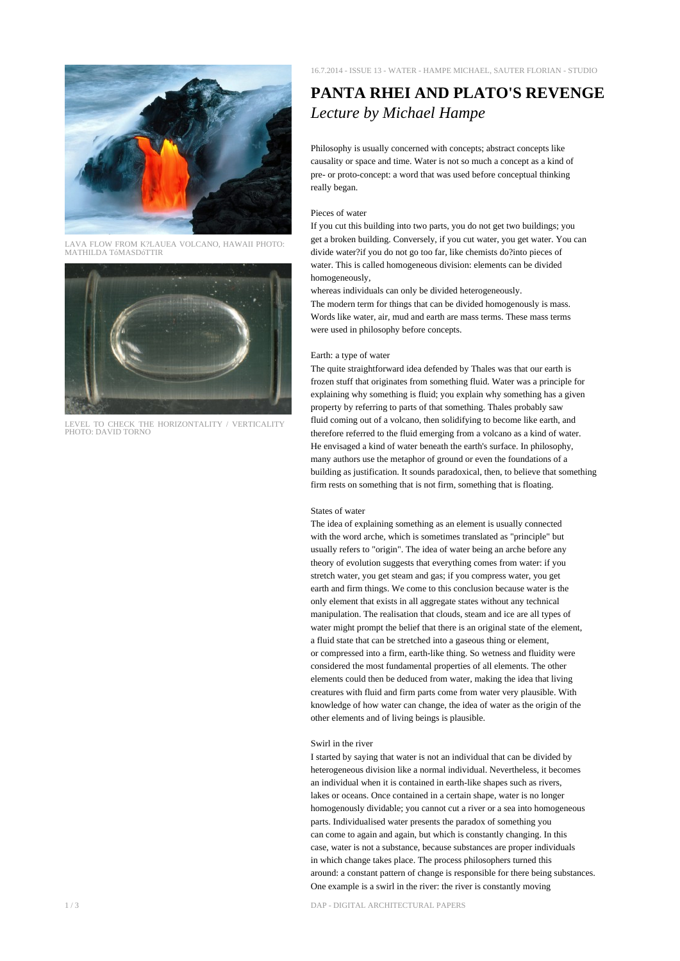

LAVA FLOW FROM K?LAUEA VOLCANO, HAWAII PHOTO: MATHILDA TóMASDóTTIR



LEVEL TO CHECK THE HORIZONTALITY / VERTICALITY PHOTO: DAVID TORNO

# **PANTA RHEI AND PLATO'S REVENGE** *Lecture by Michael Hampe*

Philosophy is usually concerned with concepts; abstract concepts like causality or space and time. Water is not so much a concept as a kind of pre- or proto-concept: a word that was used before conceptual thinking really began.

#### Pieces of water

If you cut this building into two parts, you do not get two buildings; you get a broken building. Conversely, if you cut water, you get water. You can divide water?if you do not go too far, like chemists do?into pieces of water. This is called homogeneous division: elements can be divided homogeneously,

whereas individuals can only be divided heterogeneously. The modern term for things that can be divided homogenously is mass. Words like water, air, mud and earth are mass terms. These mass terms were used in philosophy before concepts.

## Earth: a type of water

The quite straightforward idea defended by Thales was that our earth is frozen stuff that originates from something fluid. Water was a principle for explaining why something is fluid; you explain why something has a given property by referring to parts of that something. Thales probably saw fluid coming out of a volcano, then solidifying to become like earth, and therefore referred to the fluid emerging from a volcano as a kind of water. He envisaged a kind of water beneath the earth's surface. In philosophy, many authors use the metaphor of ground or even the foundations of a building as justification. It sounds paradoxical, then, to believe that something firm rests on something that is not firm, something that is floating.

## States of water

The idea of explaining something as an element is usually connected with the word arche, which is sometimes translated as "principle" but usually refers to "origin". The idea of water being an arche before any theory of evolution suggests that everything comes from water: if you stretch water, you get steam and gas; if you compress water, you get earth and firm things. We come to this conclusion because water is the only element that exists in all aggregate states without any technical manipulation. The realisation that clouds, steam and ice are all types of water might prompt the belief that there is an original state of the element, a fluid state that can be stretched into a gaseous thing or element, or compressed into a firm, earth-like thing. So wetness and fluidity were considered the most fundamental properties of all elements. The other elements could then be deduced from water, making the idea that living creatures with fluid and firm parts come from water very plausible. With knowledge of how water can change, the idea of water as the origin of the other elements and of living beings is plausible.

## Swirl in the river

I started by saying that water is not an individual that can be divided by heterogeneous division like a normal individual. Nevertheless, it becomes an individual when it is contained in earth-like shapes such as rivers, lakes or oceans. Once contained in a certain shape, water is no longer homogenously dividable; you cannot cut a river or a sea into homogeneous parts. Individualised water presents the paradox of something you can come to again and again, but which is constantly changing. In this case, water is not a substance, because substances are proper individuals in which change takes place. The process philosophers turned this around: a constant pattern of change is responsible for there being substances. One example is a swirl in the river: the river is constantly moving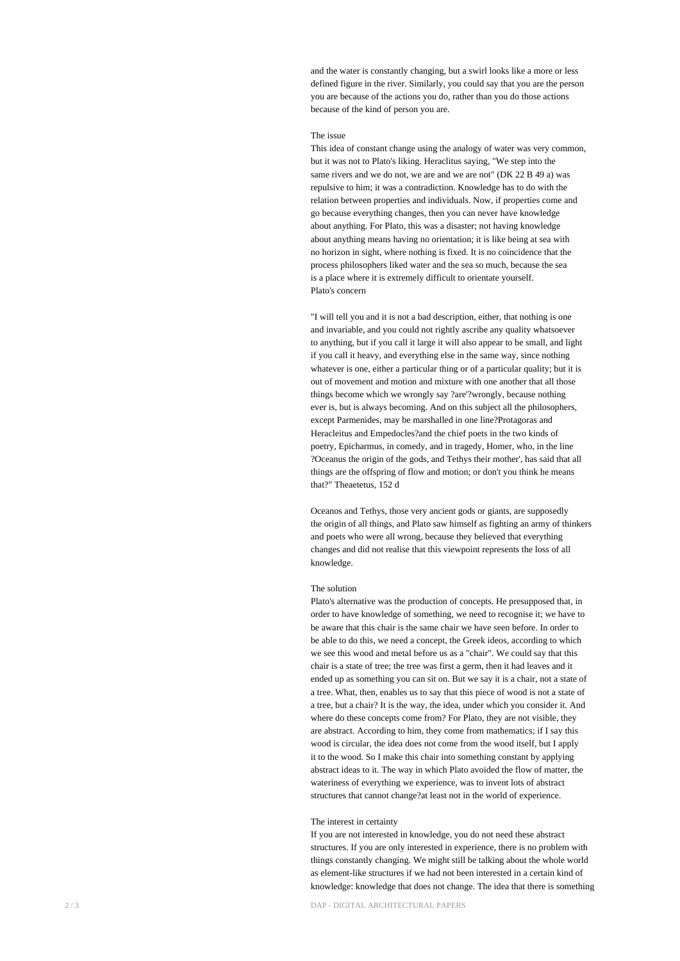and the water is constantly changing, but a swirl looks like a more or less defined figure in the river. Similarly, you could say that you are the person you are because of the actions you do, rather than you do those actions because of the kind of person you are.

#### The issue

This idea of constant change using the analogy of water was very common, but it was not to Plato's liking. Heraclitus saying, "We step into the same rivers and we do not, we are and we are not" (DK 22 B 49 a) was repulsive to him; it was a contradiction. Knowledge has to do with the relation between properties and individuals. Now, if properties come and go because everything changes, then you can never have knowledge about anything. For Plato, this was a disaster; not having knowledge about anything means having no orientation; it is like being at sea with no horizon in sight, where nothing is fixed. It is no coincidence that the process philosophers liked water and the sea so much, because the sea is a place where it is extremely difficult to orientate yourself. Plato's concern

"I will tell you and it is not a bad description, either, that nothing is one and invariable, and you could not rightly ascribe any quality whatsoever to anything, but if you call it large it will also appear to be small, and light if you call it heavy, and everything else in the same way, since nothing whatever is one, either a particular thing or of a particular quality; but it is out of movement and motion and mixture with one another that all those things become which we wrongly say ?are'?wrongly, because nothing ever is, but is always becoming. And on this subject all the philosophers, except Parmenides, may be marshalled in one line?Protagoras and Heracleitus and Empedocles?and the chief poets in the two kinds of poetry, Epicharmus, in comedy, and in tragedy, Homer, who, in the line ?Oceanus the origin of the gods, and Tethys their mother', has said that all things are the offspring of flow and motion; or don't you think he means that?" Theaetetus, 152 d

Oceanos and Tethys, those very ancient gods or giants, are supposedly the origin of all things, and Plato saw himself as fighting an army of thinkers and poets who were all wrong, because they believed that everything changes and did not realise that this viewpoint represents the loss of all knowledge.

#### The solution

Plato's alternative was the production of concepts. He presupposed that, in order to have knowledge of something, we need to recognise it; we have to be aware that this chair is the same chair we have seen before. In order to be able to do this, we need a concept, the Greek ideos, according to which we see this wood and metal before us as a "chair". We could say that this chair is a state of tree; the tree was first a germ, then it had leaves and it ended up as something you can sit on. But we say it is a chair, not a state of a tree. What, then, enables us to say that this piece of wood is not a state of a tree, but a chair? It is the way, the idea, under which you consider it. And where do these concepts come from? For Plato, they are not visible, they are abstract. According to him, they come from mathematics; if I say this wood is circular, the idea does not come from the wood itself, but I apply it to the wood. So I make this chair into something constant by applying abstract ideas to it. The way in which Plato avoided the flow of matter, the wateriness of everything we experience, was to invent lots of abstract structures that cannot change?at least not in the world of experience.

## The interest in certainty

If you are not interested in knowledge, you do not need these abstract structures. If you are only interested in experience, there is no problem with things constantly changing. We might still be talking about the whole world as element-like structures if we had not been interested in a certain kind of knowledge: knowledge that does not change. The idea that there is something